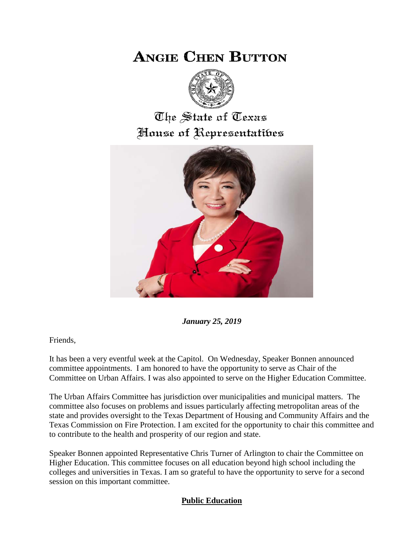## **ANGIE CHEN BUTTON**



## The State of Texas House of Representatibes



*January 25, 2019*

Friends,

It has been a very eventful week at the Capitol. On Wednesday, Speaker Bonnen announced committee appointments. I am honored to have the opportunity to serve as Chair of the Committee on Urban Affairs. I was also appointed to serve on the Higher Education Committee.

The Urban Affairs Committee has jurisdiction over municipalities and municipal matters. The committee also focuses on problems and issues particularly affecting metropolitan areas of the state and provides oversight to the Texas Department of Housing and Community Affairs and the Texas Commission on Fire Protection. I am excited for the opportunity to chair this committee and to contribute to the health and prosperity of our region and state.

Speaker Bonnen appointed Representative Chris Turner of Arlington to chair the Committee on Higher Education. This committee focuses on all education beyond high school including the colleges and universities in Texas. I am so grateful to have the opportunity to serve for a second session on this important committee.

## **Public Education**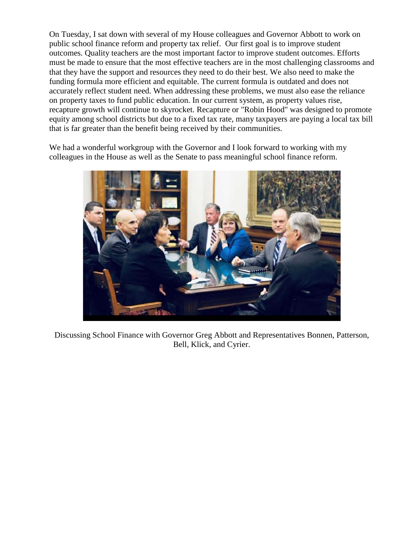On Tuesday, I sat down with several of my House colleagues and Governor Abbott to work on public school finance reform and property tax relief. Our first goal is to improve student outcomes. Quality teachers are the most important factor to improve student outcomes. Efforts must be made to ensure that the most effective teachers are in the most challenging classrooms and that they have the support and resources they need to do their best. We also need to make the funding formula more efficient and equitable. The current formula is outdated and does not accurately reflect student need. When addressing these problems, we must also ease the reliance on property taxes to fund public education. In our current system, as property values rise, recapture growth will continue to skyrocket. Recapture or "Robin Hood" was designed to promote equity among school districts but due to a fixed tax rate, many taxpayers are paying a local tax bill that is far greater than the benefit being received by their communities.

We had a wonderful workgroup with the Governor and I look forward to working with my colleagues in the House as well as the Senate to pass meaningful school finance reform.



Discussing School Finance with Governor Greg Abbott and Representatives Bonnen, Patterson, Bell, Klick, and Cyrier.